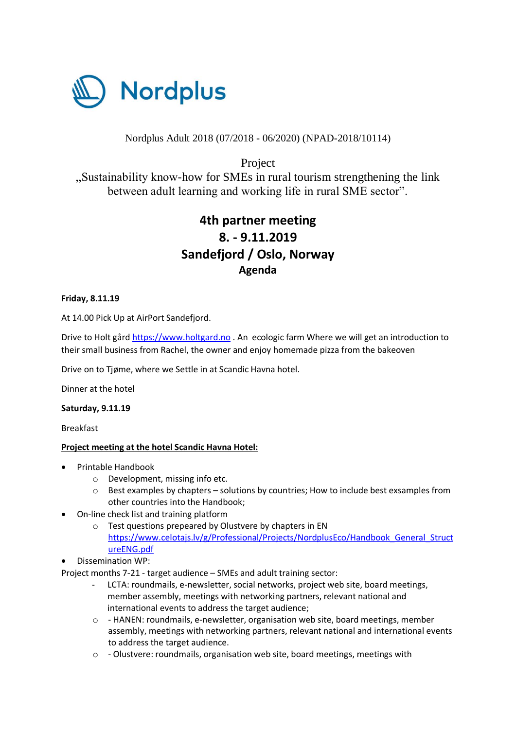

## Nordplus Adult 2018 (07/2018 - 06/2020) (NPAD-2018/10114)

Project

"Sustainability know-how for SMEs in rural tourism strengthening the link between adult learning and working life in rural SME sector".

## **4th partner meeting 8. - 9.11.2019 Sandefjord / Oslo, Norway Agenda**

## **Friday, 8.11.19**

At 14.00 Pick Up at AirPort Sandefjord.

Drive to Holt gård [https://www.holtgard.no](https://www.holtgard.no/) . An ecologic farm Where we will get an introduction to their small business from Rachel, the owner and enjoy homemade pizza from the bakeoven

Drive on to Tjøme, where we Settle in at Scandic Havna hotel.

Dinner at the hotel

**Saturday, 9.11.19**

Breakfast

## **Project meeting at the hotel Scandic Havna Hotel:**

- Printable Handbook
	- o Development, missing info etc.
	- $\circ$  Best examples by chapters solutions by countries; How to include best exsamples from other countries into the Handbook;
- On-line check list and training platform
	- o Test questions prepeared by Olustvere by chapters in EN https://www.celotajs.lv/g/Professional/Projects/NordplusEco/Handbook General Struct [ureENG.pdf](https://www.celotajs.lv/g/Professional/Projects/NordplusEco/Handbook_General_StructureENG.pdf)
- Dissemination WP:
- Project months 7-21 target audience SMEs and adult training sector:
	- LCTA: roundmails, e-newsletter, social networks, project web site, board meetings, member assembly, meetings with networking partners, relevant national and international events to address the target audience;
	- $\circ$  HANEN: roundmails, e-newsletter, organisation web site, board meetings, member assembly, meetings with networking partners, relevant national and international events to address the target audience.
	- o Olustvere: roundmails, organisation web site, board meetings, meetings with